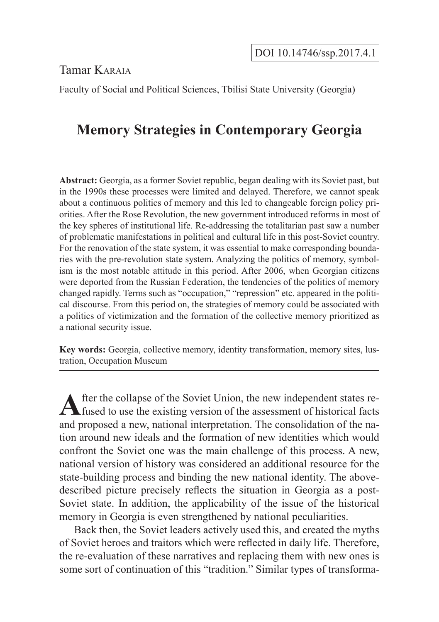Tamar Karaia

Faculty of Social and Political Sciences, Tbilisi State University (Georgia)

# **Memory Strategies in Contemporary Georgia**

**Abstract:** Georgia, as a former Soviet republic, began dealing with its Soviet past, but in the 1990s these processes were limited and delayed. Therefore, we cannot speak about a continuous politics of memory and this led to changeable foreign policy priorities. After the Rose Revolution, the new government introduced reforms in most of the key spheres of institutional life. Re-addressing the totalitarian past saw a number of problematic manifestations in political and cultural life in this post-Soviet country. For the renovation of the state system, it was essential to make corresponding boundaries with the pre-revolution state system. Analyzing the politics of memory, symbolism is the most notable attitude in this period. After 2006, when Georgian citizens were deported from the Russian Federation, the tendencies of the politics of memory changed rapidly. Terms such as "occupation," "repression" etc. appeared in the political discourse. From this period on, the strategies of memory could be associated with a politics of victimization and the formation of the collective memory prioritized as a national security issue.

**Key words:** Georgia, collective memory, identity transformation, memory sites, lustration, Occupation Museum

After the collapse of the Soviet Union, the new independent states re-<br>fused to use the existing version of the assessment of historical facts and proposed a new, national interpretation. The consolidation of the nation around new ideals and the formation of new identities which would confront the Soviet one was the main challenge of this process. A new, national version of history was considered an additional resource for the state-building process and binding the new national identity. The abovedescribed picture precisely reflects the situation in Georgia as a post-Soviet state. In addition, the applicability of the issue of the historical memory in Georgia is even strengthened by national peculiarities.

Back then, the Soviet leaders actively used this, and created the myths of Soviet heroes and traitors which were reflected in daily life. Therefore, the re-evaluation of these narratives and replacing them with new ones is some sort of continuation of this "tradition." Similar types of transforma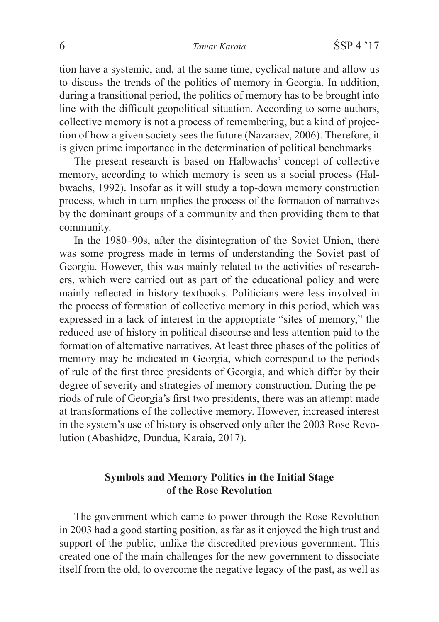tion have a systemic, and, at the same time, cyclical nature and allow us to discuss the trends of the politics of memory in Georgia. In addition, during a transitional period, the politics of memory has to be brought into line with the difficult geopolitical situation. According to some authors, collective memory is not a process of remembering, but a kind of projection of how a given society sees the future (Nazaraev, 2006). Therefore, it is given prime importance in the determination of political benchmarks.

The present research is based on Halbwachs' concept of collective memory, according to which memory is seen as a social process (Halbwachs, 1992). Insofar as it will study a top-down memory construction process, which in turn implies the process of the formation of narratives by the dominant groups of a community and then providing them to that community.

In the 1980–90s, after the disintegration of the Soviet Union, there was some progress made in terms of understanding the Soviet past of Georgia. However, this was mainly related to the activities of researchers, which were carried out as part of the educational policy and were mainly reflected in history textbooks. Politicians were less involved in the process of formation of collective memory in this period, which was expressed in a lack of interest in the appropriate "sites of memory," the reduced use of history in political discourse and less attention paid to the formation of alternative narratives. At least three phases of the politics of memory may be indicated in Georgia, which correspond to the periods of rule of the first three presidents of Georgia, and which differ by their degree of severity and strategies of memory construction. During the periods of rule of Georgia's first two presidents, there was an attempt made at transformations of the collective memory. However, increased interest in the system's use of history is observed only after the 2003 Rose Revolution (Abashidze, Dundua, Karaia, 2017).

## **Symbols and Memory Politics in the Initial Stage of the Rose Revolution**

The government which came to power through the Rose Revolution in 2003 had a good starting position, as far as it enjoyed the high trust and support of the public, unlike the discredited previous government. This created one of the main challenges for the new government to dissociate itself from the old, to overcome the negative legacy of the past, as well as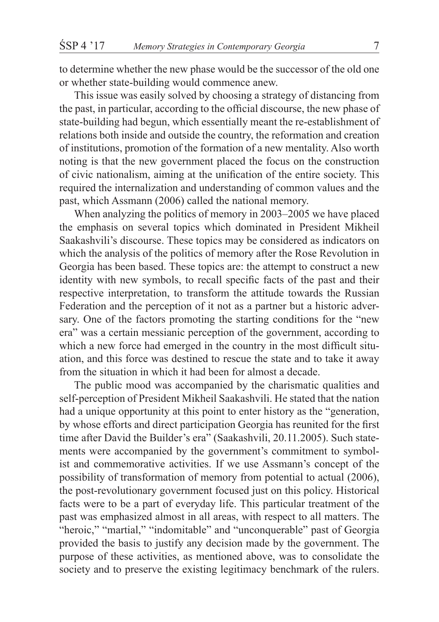to determine whether the new phase would be the successor of the old one or whether state-building would commence anew.

This issue was easily solved by choosing a strategy of distancing from the past, in particular, according to the official discourse, the new phase of state-building had begun, which essentially meant the re-establishment of relations both inside and outside the country, the reformation and creation of institutions, promotion of the formation of a new mentality. Also worth noting is that the new government placed the focus on the construction of civic nationalism, aiming at the unification of the entire society. This required the internalization and understanding of common values and the past, which Assmann (2006) called the national memory.

When analyzing the politics of memory in 2003–2005 we have placed the emphasis on several topics which dominated in President Mikheil Saakashvili's discourse. These topics may be considered as indicators on which the analysis of the politics of memory after the Rose Revolution in Georgia has been based. These topics are: the attempt to construct a new identity with new symbols, to recall specific facts of the past and their respective interpretation, to transform the attitude towards the Russian Federation and the perception of it not as a partner but a historic adversary. One of the factors promoting the starting conditions for the "new era" was a certain messianic perception of the government, according to which a new force had emerged in the country in the most difficult situation, and this force was destined to rescue the state and to take it away from the situation in which it had been for almost a decade.

The public mood was accompanied by the charismatic qualities and self-perception of President Mikheil Saakashvili. He stated that the nation had a unique opportunity at this point to enter history as the "generation, by whose efforts and direct participation Georgia has reunited for the first time after David the Builder's era" (Saakashvili, 20.11.2005). Such statements were accompanied by the government's commitment to symbolist and commemorative activities. If we use Assmann's concept of the possibility of transformation of memory from potential to actual (2006), the post-revolutionary government focused just on this policy. Historical facts were to be a part of everyday life. This particular treatment of the past was emphasized almost in all areas, with respect to all matters. The "heroic," "martial," "indomitable" and "unconquerable" past of Georgia provided the basis to justify any decision made by the government. The purpose of these activities, as mentioned above, was to consolidate the society and to preserve the existing legitimacy benchmark of the rulers.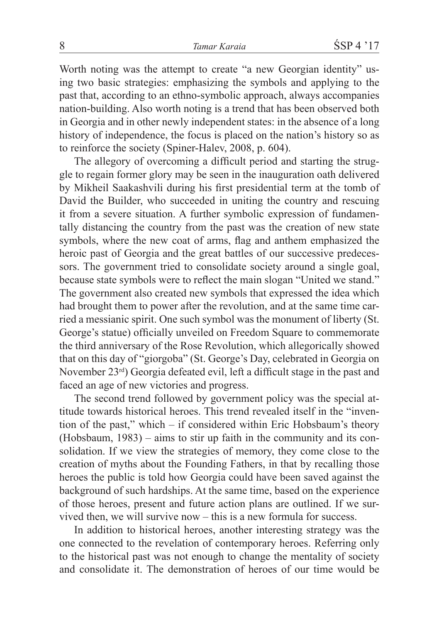Worth noting was the attempt to create "a new Georgian identity" using two basic strategies: emphasizing the symbols and applying to the past that, according to an ethno-symbolic approach, always accompanies nation-building. Also worth noting is a trend that has been observed both in Georgia and in other newly independent states: in the absence of a long history of independence, the focus is placed on the nation's history so as to reinforce the society (Spiner-Halev, 2008, p. 604).

The allegory of overcoming a difficult period and starting the struggle to regain former glory may be seen in the inauguration oath delivered by Mikheil Saakashvili during his first presidential term at the tomb of David the Builder, who succeeded in uniting the country and rescuing it from a severe situation. A further symbolic expression of fundamentally distancing the country from the past was the creation of new state symbols, where the new coat of arms, flag and anthem emphasized the heroic past of Georgia and the great battles of our successive predecessors. The government tried to consolidate society around a single goal, because state symbols were to reflect the main slogan "United we stand." The government also created new symbols that expressed the idea which had brought them to power after the revolution, and at the same time carried a messianic spirit. One such symbol was the monument of liberty (St. George's statue) officially unveiled on Freedom Square to commemorate the third anniversary of the Rose Revolution, which allegorically showed that on this day of "giorgoba" (St. George's Day, celebrated in Georgia on November 23rd) Georgia defeated evil, left a difficult stage in the past and faced an age of new victories and progress.

The second trend followed by government policy was the special attitude towards historical heroes. This trend revealed itself in the "invention of the past," which – if considered within Eric Hobsbaum's theory (Hobsbaum, 1983) – aims to stir up faith in the community and its consolidation. If we view the strategies of memory, they come close to the creation of myths about the Founding Fathers, in that by recalling those heroes the public is told how Georgia could have been saved against the background of such hardships. At the same time, based on the experience of those heroes, present and future action plans are outlined. If we survived then, we will survive now – this is a new formula for success.

In addition to historical heroes, another interesting strategy was the one connected to the revelation of contemporary heroes. Referring only to the historical past was not enough to change the mentality of society and consolidate it. The demonstration of heroes of our time would be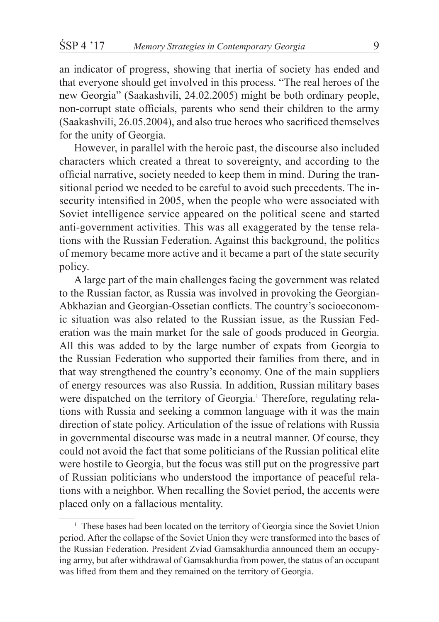an indicator of progress, showing that inertia of society has ended and that everyone should get involved in this process. "The real heroes of the new Georgia" (Saakashvili, 24.02.2005) might be both ordinary people, non-corrupt state officials, parents who send their children to the army (Saakashvili, 26.05.2004), and also true heroes who sacrificed themselves for the unity of Georgia.

However, in parallel with the heroic past, the discourse also included characters which created a threat to sovereignty, and according to the official narrative, society needed to keep them in mind. During the transitional period we needed to be careful to avoid such precedents. The insecurity intensified in 2005, when the people who were associated with Soviet intelligence service appeared on the political scene and started anti-government activities. This was all exaggerated by the tense relations with the Russian Federation. Against this background, the politics of memory became more active and it became a part of the state security policy.

A large part of the main challenges facing the government was related to the Russian factor, as Russia was involved in provoking the Georgian-Abkhazian and Georgian-Ossetian conflicts. The country's socioeconomic situation was also related to the Russian issue, as the Russian Federation was the main market for the sale of goods produced in Georgia. All this was added to by the large number of expats from Georgia to the Russian Federation who supported their families from there, and in that way strengthened the country's economy. One of the main suppliers of energy resources was also Russia. In addition, Russian military bases were dispatched on the territory of Georgia.<sup>1</sup> Therefore, regulating relations with Russia and seeking a common language with it was the main direction of state policy. Articulation of the issue of relations with Russia in governmental discourse was made in a neutral manner. Of course, they could not avoid the fact that some politicians of the Russian political elite were hostile to Georgia, but the focus was still put on the progressive part of Russian politicians who understood the importance of peaceful relations with a neighbor. When recalling the Soviet period, the accents were placed only on a fallacious mentality.

<sup>&</sup>lt;sup>1</sup> These bases had been located on the territory of Georgia since the Soviet Union period. After the collapse of the Soviet Union they were transformed into the bases of the Russian Federation. President Zviad Gamsakhurdia announced them an occupying army, but after withdrawal of Gamsakhurdia from power, the status of an occupant was lifted from them and they remained on the territory of Georgia.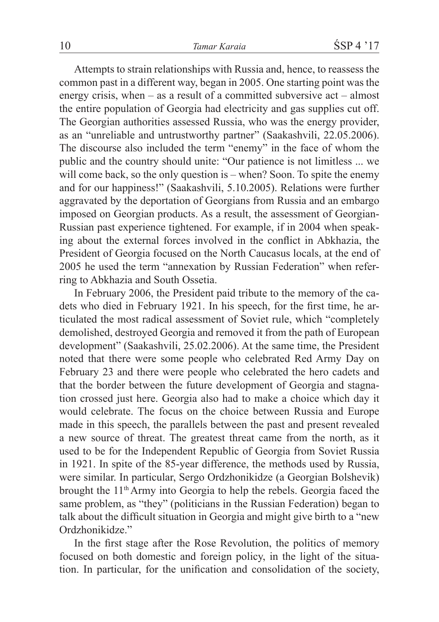Attempts to strain relationships with Russia and, hence, to reassess the common past in a different way, began in 2005. One starting point was the energy crisis, when – as a result of a committed subversive act – almost the entire population of Georgia had electricity and gas supplies cut off. The Georgian authorities assessed Russia, who was the energy provider, as an "unreliable and untrustworthy partner" (Saakashvili, 22.05.2006). The discourse also included the term "enemy" in the face of whom the public and the country should unite: "Our patience is not limitless ... we will come back, so the only question is – when? Soon. To spite the enemy and for our happiness!" (Saakashvili, 5.10.2005). Relations were further aggravated by the deportation of Georgians from Russia and an embargo imposed on Georgian products. As a result, the assessment of Georgian-Russian past experience tightened. For example, if in 2004 when speaking about the external forces involved in the conflict in Abkhazia, the President of Georgia focused on the North Caucasus locals, at the end of 2005 he used the term "annexation by Russian Federation" when referring to Abkhazia and South Ossetia.

In February 2006, the President paid tribute to the memory of the cadets who died in February 1921. In his speech, for the first time, he articulated the most radical assessment of Soviet rule, which "completely demolished, destroyed Georgia and removed it from the path of European development" (Saakashvili, 25.02.2006). At the same time, the President noted that there were some people who celebrated Red Army Day on February 23 and there were people who celebrated the hero cadets and that the border between the future development of Georgia and stagnation crossed just here. Georgia also had to make a choice which day it would celebrate. The focus on the choice between Russia and Europe made in this speech, the parallels between the past and present revealed a new source of threat. The greatest threat came from the north, as it used to be for the Independent Republic of Georgia from Soviet Russia in 1921. In spite of the 85-year difference, the methods used by Russia, were similar. In particular, Sergo Ordzhonikidze (a Georgian Bolshevik) brought the 11<sup>th</sup> Army into Georgia to help the rebels. Georgia faced the same problem, as "they" (politicians in the Russian Federation) began to talk about the difficult situation in Georgia and might give birth to a "new Ordzhonikidze."

In the first stage after the Rose Revolution, the politics of memory focused on both domestic and foreign policy, in the light of the situation. In particular, for the unification and consolidation of the society,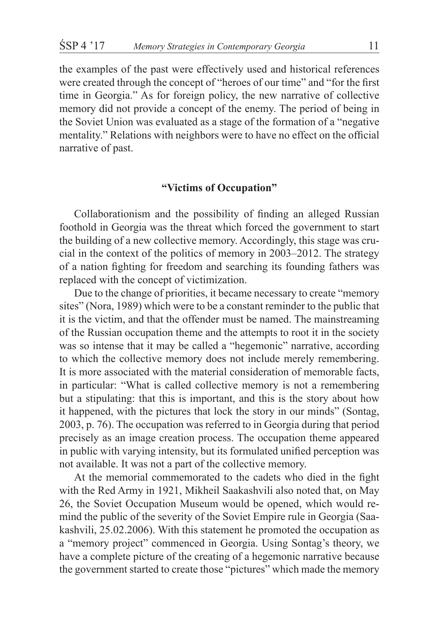the examples of the past were effectively used and historical references were created through the concept of "heroes of our time" and "for the first time in Georgia." As for foreign policy, the new narrative of collective memory did not provide a concept of the enemy. The period of being in the Soviet Union was evaluated as a stage of the formation of a "negative mentality." Relations with neighbors were to have no effect on the official narrative of past.

## **"Victims of Occupation"**

Collaborationism and the possibility of finding an alleged Russian foothold in Georgia was the threat which forced the government to start the building of a new collective memory. Accordingly, this stage was crucial in the context of the politics of memory in 2003–2012. The strategy of a nation fighting for freedom and searching its founding fathers was replaced with the concept of victimization.

Due to the change of priorities, it became necessary to create "memory sites" (Nora, 1989) which were to be a constant reminder to the public that it is the victim, and that the offender must be named. The mainstreaming of the Russian occupation theme and the attempts to root it in the society was so intense that it may be called a "hegemonic" narrative, according to which the collective memory does not include merely remembering. It is more associated with the material consideration of memorable facts, in particular: "What is called collective memory is not a remembering but a stipulating: that this is important, and this is the story about how it happened, with the pictures that lock the story in our minds" (Sontag, 2003, p. 76). The occupation was referred to in Georgia during that period precisely as an image creation process. The occupation theme appeared in public with varying intensity, but its formulated unified perception was not available. It was not a part of the collective memory.

At the memorial commemorated to the cadets who died in the fight with the Red Army in 1921, Mikheil Saakashvili also noted that, on May 26, the Soviet Occupation Museum would be opened, which would remind the public of the severity of the Soviet Empire rule in Georgia (Saakashvili, 25.02.2006). With this statement he promoted the occupation as a "memory project" commenced in Georgia. Using Sontag's theory, we have a complete picture of the creating of a hegemonic narrative because the government started to create those "pictures" which made the memory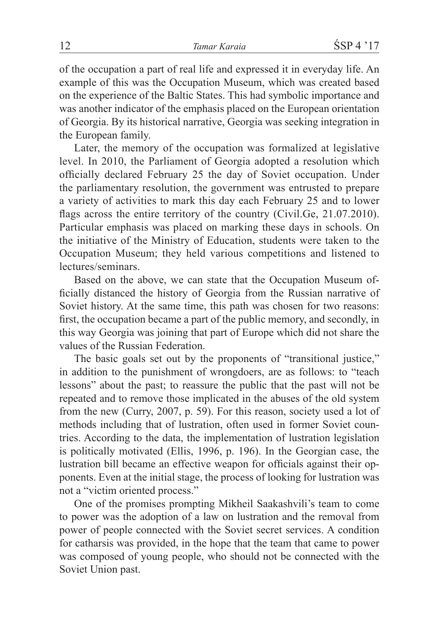of the occupation a part of real life and expressed it in everyday life. An example of this was the Occupation Museum, which was created based on the experience of the Baltic States. This had symbolic importance and was another indicator of the emphasis placed on the European orientation of Georgia. By its historical narrative, Georgia was seeking integration in the European family.

Later, the memory of the occupation was formalized at legislative level. In 2010, the Parliament of Georgia adopted a resolution which officially declared February 25 the day of Soviet occupation. Under the parliamentary resolution, the government was entrusted to prepare a variety of activities to mark this day each February 25 and to lower flags across the entire territory of the country (Civil.Ge, 21.07.2010). Particular emphasis was placed on marking these days in schools. On the initiative of the Ministry of Education, students were taken to the Occupation Museum; they held various competitions and listened to lectures/seminars.

Based on the above, we can state that the Occupation Museum officially distanced the history of Georgia from the Russian narrative of Soviet history. At the same time, this path was chosen for two reasons: first, the occupation became a part of the public memory, and secondly, in this way Georgia was joining that part of Europe which did not share the values of the Russian Federation.

The basic goals set out by the proponents of "transitional justice," in addition to the punishment of wrongdoers, are as follows: to "teach lessons" about the past; to reassure the public that the past will not be repeated and to remove those implicated in the abuses of the old system from the new (Curry, 2007, p. 59). For this reason, society used a lot of methods including that of lustration, often used in former Soviet countries. According to the data, the implementation of lustration legislation is politically motivated (Ellis, 1996, p. 196). In the Georgian case, the lustration bill became an effective weapon for officials against their opponents. Even at the initial stage, the process of looking for lustration was not a "victim oriented process."

One of the promises prompting Mikheil Saakashvili's team to come to power was the adoption of a law on lustration and the removal from power of people connected with the Soviet secret services. A condition for catharsis was provided, in the hope that the team that came to power was composed of young people, who should not be connected with the Soviet Union past.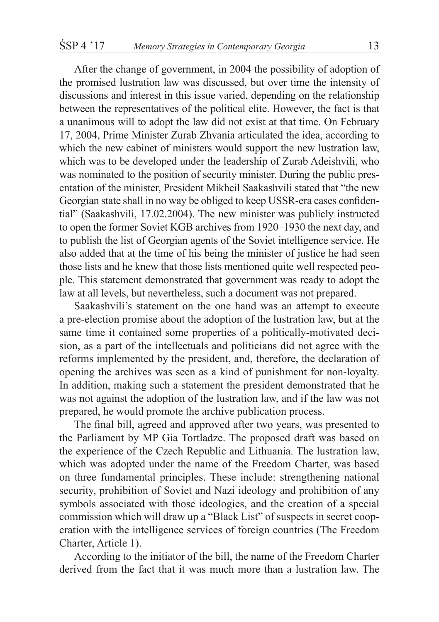After the change of government, in 2004 the possibility of adoption of the promised lustration law was discussed, but over time the intensity of discussions and interest in this issue varied, depending on the relationship between the representatives of the political elite. However, the fact is that a unanimous will to adopt the law did not exist at that time. On February 17, 2004, Prime Minister Zurab Zhvania articulated the idea, according to which the new cabinet of ministers would support the new lustration law, which was to be developed under the leadership of Zurab Adeishvili, who was nominated to the position of security minister. During the public presentation of the minister, President Mikheil Saakashvili stated that "the new Georgian state shall in no way be obliged to keep USSR-era cases confidential" (Saakashvili, 17.02.2004). The new minister was publicly instructed to open the former Soviet KGB archives from 1920–1930 the next day, and to publish the list of Georgian agents of the Soviet intelligence service. He also added that at the time of his being the minister of justice he had seen those lists and he knew that those lists mentioned quite well respected people. This statement demonstrated that government was ready to adopt the law at all levels, but nevertheless, such a document was not prepared.

Saakashvili's statement on the one hand was an attempt to execute a pre-election promise about the adoption of the lustration law, but at the same time it contained some properties of a politically-motivated decision, as a part of the intellectuals and politicians did not agree with the reforms implemented by the president, and, therefore, the declaration of opening the archives was seen as a kind of punishment for non-loyalty. In addition, making such a statement the president demonstrated that he was not against the adoption of the lustration law, and if the law was not prepared, he would promote the archive publication process.

The final bill, agreed and approved after two years, was presented to the Parliament by MP Gia Tortladze. The proposed draft was based on the experience of the Czech Republic and Lithuania. The lustration law, which was adopted under the name of the Freedom Charter, was based on three fundamental principles. These include: strengthening national security, prohibition of Soviet and Nazi ideology and prohibition of any symbols associated with those ideologies, and the creation of a special commission which will draw up a "Black List" of suspects in secret cooperation with the intelligence services of foreign countries (The Freedom Charter, Article 1).

According to the initiator of the bill, the name of the Freedom Charter derived from the fact that it was much more than a lustration law. The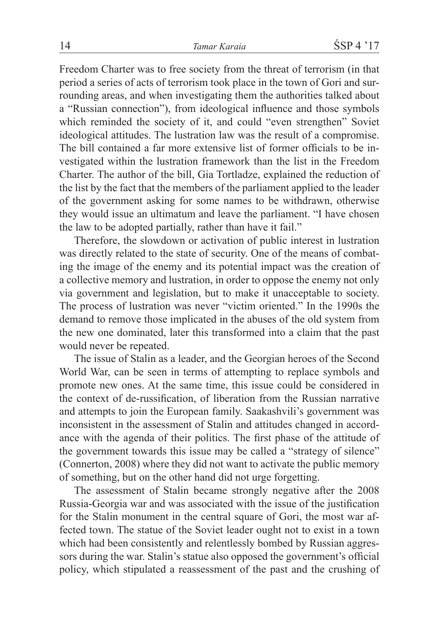Freedom Charter was to free society from the threat of terrorism (in that period a series of acts of terrorism took place in the town of Gori and surrounding areas, and when investigating them the authorities talked about a "Russian connection"), from ideological influence and those symbols which reminded the society of it, and could "even strengthen" Soviet ideological attitudes. The lustration law was the result of a compromise. The bill contained a far more extensive list of former officials to be investigated within the lustration framework than the list in the Freedom Charter. The author of the bill, Gia Tortladze, explained the reduction of the list by the fact that the members of the parliament applied to the leader of the government asking for some names to be withdrawn, otherwise they would issue an ultimatum and leave the parliament. "I have chosen the law to be adopted partially, rather than have it fail."

Therefore, the slowdown or activation of public interest in lustration was directly related to the state of security. One of the means of combating the image of the enemy and its potential impact was the creation of a collective memory and lustration, in order to oppose the enemy not only via government and legislation, but to make it unacceptable to society. The process of lustration was never "victim oriented." In the 1990s the demand to remove those implicated in the abuses of the old system from the new one dominated, later this transformed into a claim that the past would never be repeated.

The issue of Stalin as a leader, and the Georgian heroes of the Second World War, can be seen in terms of attempting to replace symbols and promote new ones. At the same time, this issue could be considered in the context of de-russification, of liberation from the Russian narrative and attempts to join the European family. Saakashvili's government was inconsistent in the assessment of Stalin and attitudes changed in accordance with the agenda of their politics. The first phase of the attitude of the government towards this issue may be called a "strategy of silence" (Connerton, 2008) where they did not want to activate the public memory of something, but on the other hand did not urge forgetting.

The assessment of Stalin became strongly negative after the 2008 Russia-Georgia war and was associated with the issue of the justification for the Stalin monument in the central square of Gori, the most war affected town. The statue of the Soviet leader ought not to exist in a town which had been consistently and relentlessly bombed by Russian aggressors during the war. Stalin's statue also opposed the government's official policy, which stipulated a reassessment of the past and the crushing of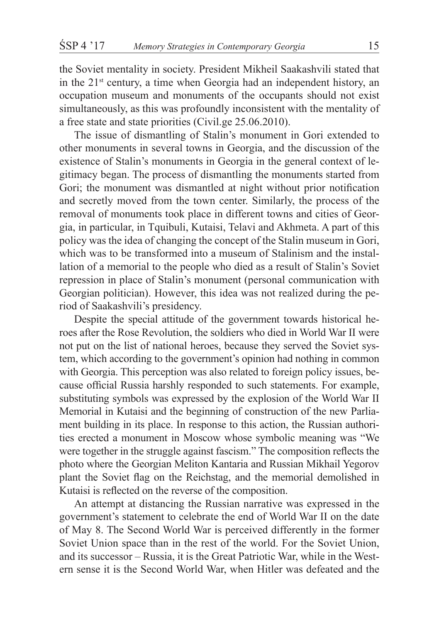the Soviet mentality in society. President Mikheil Saakashvili stated that in the  $21<sup>st</sup>$  century, a time when Georgia had an independent history, an occupation museum and monuments of the occupants should not exist simultaneously, as this was profoundly inconsistent with the mentality of a free state and state priorities (Civil.ge 25.06.2010).

The issue of dismantling of Stalin's monument in Gori extended to other monuments in several towns in Georgia, and the discussion of the existence of Stalin's monuments in Georgia in the general context of legitimacy began. The process of dismantling the monuments started from Gori; the monument was dismantled at night without prior notification and secretly moved from the town center. Similarly, the process of the removal of monuments took place in different towns and cities of Georgia, in particular, in Tquibuli, Kutaisi, Telavi and Akhmeta. A part of this policy was the idea of changing the concept of the Stalin museum in Gori, which was to be transformed into a museum of Stalinism and the installation of a memorial to the people who died as a result of Stalin's Soviet repression in place of Stalin's monument (personal communication with Georgian politician). However, this idea was not realized during the period of Saakashvili's presidency.

Despite the special attitude of the government towards historical heroes after the Rose Revolution, the soldiers who died in World War II were not put on the list of national heroes, because they served the Soviet system, which according to the government's opinion had nothing in common with Georgia. This perception was also related to foreign policy issues, because official Russia harshly responded to such statements. For example, substituting symbols was expressed by the explosion of the World War II Memorial in Kutaisi and the beginning of construction of the new Parliament building in its place. In response to this action, the Russian authorities erected a monument in Moscow whose symbolic meaning was "We were together in the struggle against fascism." The composition reflects the photo where the Georgian Meliton Kantaria and Russian Mikhail Yegorov plant the Soviet flag on the Reichstag, and the memorial demolished in Kutaisi is reflected on the reverse of the composition.

An attempt at distancing the Russian narrative was expressed in the government's statement to celebrate the end of World War II on the date of May 8. The Second World War is perceived differently in the former Soviet Union space than in the rest of the world. For the Soviet Union, and its successor – Russia, it is the Great Patriotic War, while in the Western sense it is the Second World War, when Hitler was defeated and the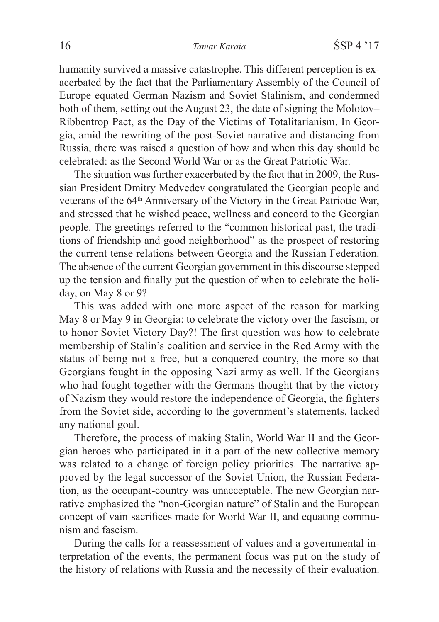humanity survived a massive catastrophe. This different perception is exacerbated by the fact that the Parliamentary Assembly of the Council of Europe equated German Nazism and Soviet Stalinism, and condemned both of them, setting out the August 23, the date of signing the Molotov– Ribbentrop Pact, as the Day of the Victims of Totalitarianism. In Georgia, amid the rewriting of the post-Soviet narrative and distancing from Russia, there was raised a question of how and when this day should be celebrated: as the Second World War or as the Great Patriotic War.

The situation was further exacerbated by the fact that in 2009, the Russian President Dmitry Medvedev congratulated the Georgian people and veterans of the 64<sup>th</sup> Anniversary of the Victory in the Great Patriotic War, and stressed that he wished peace, wellness and concord to the Georgian people. The greetings referred to the "common historical past, the traditions of friendship and good neighborhood" as the prospect of restoring the current tense relations between Georgia and the Russian Federation. The absence of the current Georgian government in this discourse stepped up the tension and finally put the question of when to celebrate the holiday, on May 8 or 9?

This was added with one more aspect of the reason for marking May 8 or May 9 in Georgia: to celebrate the victory over the fascism, or to honor Soviet Victory Day?! The first question was how to celebrate membership of Stalin's coalition and service in the Red Army with the status of being not a free, but a conquered country, the more so that Georgians fought in the opposing Nazi army as well. If the Georgians who had fought together with the Germans thought that by the victory of Nazism they would restore the independence of Georgia, the fighters from the Soviet side, according to the government's statements, lacked any national goal.

Therefore, the process of making Stalin, World War II and the Georgian heroes who participated in it a part of the new collective memory was related to a change of foreign policy priorities. The narrative approved by the legal successor of the Soviet Union, the Russian Federation, as the occupant-country was unacceptable. The new Georgian narrative emphasized the "non-Georgian nature" of Stalin and the European concept of vain sacrifices made for World War II, and equating communism and fascism.

During the calls for a reassessment of values and a governmental interpretation of the events, the permanent focus was put on the study of the history of relations with Russia and the necessity of their evaluation.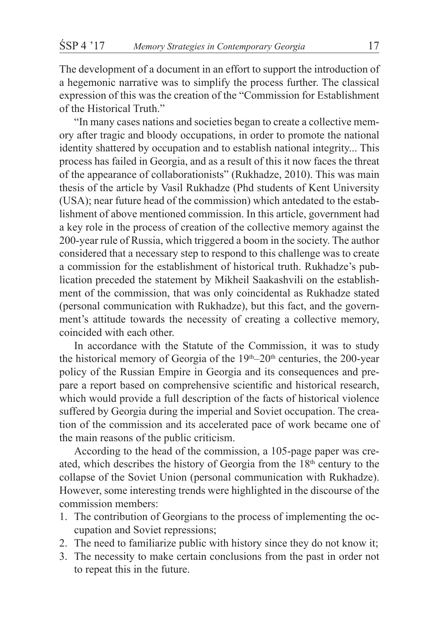The development of a document in an effort to support the introduction of a hegemonic narrative was to simplify the process further. The classical expression of this was the creation of the "Commission for Establishment of the Historical Truth."

"In many cases nations and societies began to create a collective memory after tragic and bloody occupations, in order to promote the national identity shattered by occupation and to establish national integrity... This process has failed in Georgia, and as a result of this it now faces the threat of the appearance of collaborationists" (Rukhadze, 2010). This was main thesis of the article by Vasil Rukhadze (Phd students of Kent University (USA); near future head of the commission) which antedated to the establishment of above mentioned commission. In this article, government had a key role in the process of creation of the collective memory against the 200-year rule of Russia, which triggered a boom in the society. The author considered that a necessary step to respond to this challenge was to create a commission for the establishment of historical truth. Rukhadze's publication preceded the statement by Mikheil Saakashvili on the establishment of the commission, that was only coincidental as Rukhadze stated (personal communication with Rukhadze), but this fact, and the government's attitude towards the necessity of creating a collective memory, coincided with each other.

In accordance with the Statute of the Commission, it was to study the historical memory of Georgia of the  $19<sup>th</sup>-20<sup>th</sup>$  centuries, the 200-year policy of the Russian Empire in Georgia and its consequences and prepare a report based on comprehensive scientific and historical research, which would provide a full description of the facts of historical violence suffered by Georgia during the imperial and Soviet occupation. The creation of the commission and its accelerated pace of work became one of the main reasons of the public criticism.

According to the head of the commission, a 105-page paper was created, which describes the history of Georgia from the 18th century to the collapse of the Soviet Union (personal communication with Rukhadze). However, some interesting trends were highlighted in the discourse of the commission members:

- 1. The contribution of Georgians to the process of implementing the occupation and Soviet repressions;
- 2. The need to familiarize public with history since they do not know it;
- 3. The necessity to make certain conclusions from the past in order not to repeat this in the future.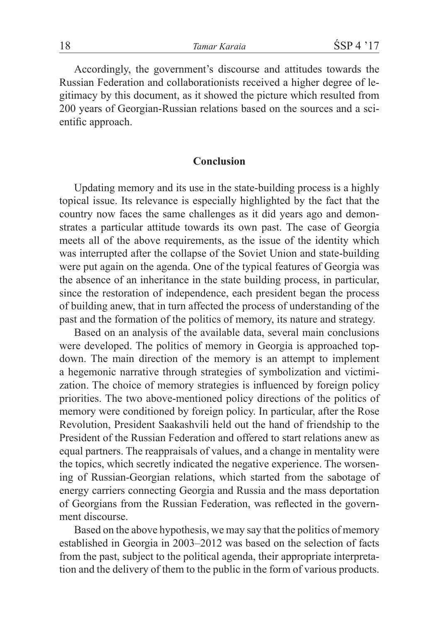Accordingly, the government's discourse and attitudes towards the Russian Federation and collaborationists received a higher degree of legitimacy by this document, as it showed the picture which resulted from 200 years of Georgian-Russian relations based on the sources and a scientific approach.

### **Conclusion**

Updating memory and its use in the state-building process is a highly topical issue. Its relevance is especially highlighted by the fact that the country now faces the same challenges as it did years ago and demonstrates a particular attitude towards its own past. The case of Georgia meets all of the above requirements, as the issue of the identity which was interrupted after the collapse of the Soviet Union and state-building were put again on the agenda. One of the typical features of Georgia was the absence of an inheritance in the state building process, in particular, since the restoration of independence, each president began the process of building anew, that in turn affected the process of understanding of the past and the formation of the politics of memory, its nature and strategy.

Based on an analysis of the available data, several main conclusions were developed. The politics of memory in Georgia is approached topdown. The main direction of the memory is an attempt to implement a hegemonic narrative through strategies of symbolization and victimization. The choice of memory strategies is influenced by foreign policy priorities. The two above-mentioned policy directions of the politics of memory were conditioned by foreign policy. In particular, after the Rose Revolution, President Saakashvili held out the hand of friendship to the President of the Russian Federation and offered to start relations anew as equal partners. The reappraisals of values, and a change in mentality were the topics, which secretly indicated the negative experience. The worsening of Russian-Georgian relations, which started from the sabotage of energy carriers connecting Georgia and Russia and the mass deportation of Georgians from the Russian Federation, was reflected in the government discourse.

Based on the above hypothesis, we may say that the politics of memory established in Georgia in 2003–2012 was based on the selection of facts from the past, subject to the political agenda, their appropriate interpretation and the delivery of them to the public in the form of various products.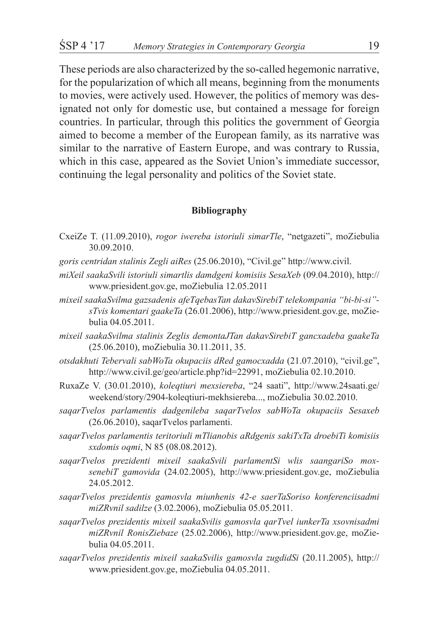These periods are also characterized by the so-called hegemonic narrative, for the popularization of which all means, beginning from the monuments to movies, were actively used. However, the politics of memory was designated not only for domestic use, but contained a message for foreign countries. In particular, through this politics the government of Georgia aimed to become a member of the European family, as its narrative was similar to the narrative of Eastern Europe, and was contrary to Russia, which in this case, appeared as the Soviet Union's immediate successor, continuing the legal personality and politics of the Soviet state.

#### **Bibliography**

- CxeiZe T. (11.09.2010), *rogor iwereba istoriuli simarTle*, "netgazeti", moZiebulia 30.09.2010.
- *goris centridan stalinis Zegli aiRes* (25.06.2010), "Civil.ge" http://www.civil.
- *miXeil saakaSvili istoriuli simartlis damdgeni komisiis SesaXeb* (09.04.2010), http:// www.priesident.gov.ge, moZiebulia 12.05.2011
- *mixeil saakaSvilma gazsadenis afeTqebasTan dakavSirebiT telekompania "bi-bi-si" sTvis komentari gaakeTa* (26.01.2006), http://www.priesident.gov.ge, moZiebulia 04.05.2011.
- *mixeil saakaSvilma stalinis Zeglis demontaJTan dakavSirebiT gancxadeba gaakeTa* (25.06.2010), moZiebulia 30.11.2011, 35.
- *otsdakhuti Tebervali sabWoTa okupaciis dRed gamocxadda* (21.07.2010), "civil.ge", http://www.civil.ge/geo/article.php?id=22991, moZiebulia 02.10.2010.
- RuxaZe V. (30.01.2010), *koleqtiuri mexsiereba*, "24 saati", http://www.24saati.ge/ weekend/story/2904-koleqtiuri-mekhsiereba..., moZiebulia 30.02.2010.
- *saqarTvelos parlamentis dadgenileba saqarTvelos sabWoTa okupaciis Sesaxeb* (26.06.2010), saqarTvelos parlamenti.
- *saqarTvelos parlamentis teritoriuli mTlianobis aRdgenis sakiTxTa droebiTi komisiis sxdomis oqmi*, N 85 (08.08.2012).
- *saqarTvelos prezidenti mixeil saakaSvili parlamentSi wlis saangariSo moxsenebiT gamovida* (24.02.2005), http://www.priesident.gov.ge, moZiebulia 24.05.2012.
- *saqarTvelos prezidentis gamosvla miunhenis 42-e saerTaSoriso konferenciisadmi miZRvnil sadilze* (3.02.2006), moZiebulia 05.05.2011.
- *saqarTvelos prezidentis mixeil saakaSvilis gamosvla qarTvel iunkerTa xsovnisadmi miZRvnil RonisZiebaze* (25.02.2006), http://www.priesident.gov.ge, moZiebulia 04.05.2011.
- *saqarTvelos prezidentis mixeil saakaSvilis gamosvla zugdidSi* (20.11.2005), http:// www.priesident.gov.ge, moZiebulia 04.05.2011.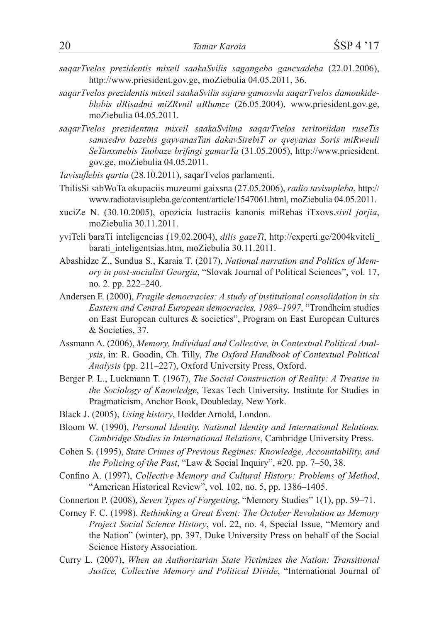- *saqarTvelos prezidentis mixeil saakaSvilis sagangebo gancxadeba* (22.01.2006), http://www.priesident.gov.ge, moZiebulia 04.05.2011, 36.
- *saqarTvelos prezidentis mixeil saakaSvilis sajaro gamosvla saqarTvelos damoukideblobis dRisadmi miZRvnil aRlumze* (26.05.2004), www.priesident.gov.ge, moZiebulia 04.05.2011.
- *saqarTvelos prezidentma mixeil saakaSvilma saqarTvelos teritoriidan ruseTis samxedro bazebis gayvanasTan dakavSirebiT or qveyanas Soris miRweuli SeTanxmebis Taobaze brifingi gamarTa* (31.05.2005), http://www.priesident. gov.ge, moZiebulia 04.05.2011.

*Tavisuflebis qartia* (28.10.2011), saqarTvelos parlamenti.

- TbilisSi sabWoTa okupaciis muzeumi gaixsna (27.05.2006), *radio tavisupleba*, http:// www.radiotavisupleba.ge/content/article/1547061.html, moZiebulia 04.05.2011.
- xuciZe N. (30.10.2005), opozicia lustraciis kanonis miRebas iTxovs.*sivil jorjia*, moZiebulia 30.11.2011.
- yviTeli baraTi inteligencias (19.02.2004), *dilis gazeTi*, http://experti.ge/2004kviteli\_ barati\_inteligentsias.htm, moZiebulia 30.11.2011.
- Abashidze Z., Sundua S., Karaia T. (2017), *National narration and Politics of Memory in post-socialist Georgia*, "Slovak Journal of Political Sciences", vol. 17, no. 2. pp. 222–240.
- Andersen F. (2000), *Fragile democracies: A study of institutional consolidation in six Eastern and Central European democracies, 1989–1997*, "Trondheim studies on East European cultures & societies", Program on East European Cultures & Societies, 37.
- Assmann A. (2006), *Memory, Individual and Collective, in Contextual Political Analysis*, in: R. Goodin, Ch. Tilly, *The Oxford Handbook of Contextual Political Analysis* (pp. 211–227), Oxford University Press, Oxford.
- Berger P. L., Luckmann T. (1967), *The Social Construction of Reality: A Treatise in the Sociology of Knowledge*, Texas Tech University. Institute for Studies in Pragmaticism, Anchor Book, Doubleday, New York.
- Black J. (2005), *Using history*, Hodder Arnold, London.
- Bloom W. (1990), *Personal Identity. National Identity and International Relations. Cambridge Studies in International Relations*, Cambridge University Press.
- Cohen S. (1995), *State Crimes of Previous Regimes: Knowledge, Accountability, and the Policing of the Past*, "Law & Social Inquiry", #20. pp. 7–50, 38.
- Confino A. (1997), *Collective Memory and Cultural History: Problems of Method*, "American Historical Review", vol. 102, no. 5, pp. 1386–1405.
- Connerton P. (2008), *Seven Types of Forgetting*, "Memory Studies" 1(1), pp. 59–71.
- Corney F. C. (1998). *Rethinking a Great Event: The October Revolution as Memory Project Social Science History*, vol. 22, no. 4, Special Issue, "Memory and the Nation" (winter), pp. 397, Duke University Press on behalf of the Social Science History Association.
- Curry L. (2007), *When an Authoritarian State Victimizes the Nation: Transitional Justice, Collective Memory and Political Divide*, "International Journal of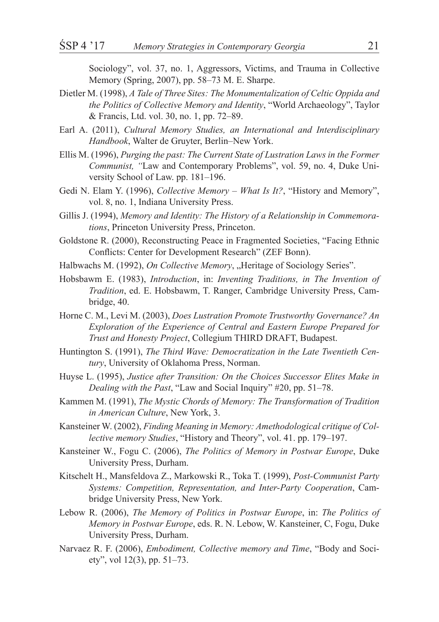Sociology", vol. 37, no. 1, Aggressors, Victims, and Trauma in Collective Memory (Spring, 2007), pp. 58–73 M. E. Sharpe.

- Dietler M. (1998), *A Tale of Three Sites: The Monumentalization of Celtic Oppida and the Politics of Collective Memory and Identity*, "World Archaeology", Taylor & Francis, Ltd. vol. 30, no. 1, pp. 72–89.
- Earl A. (2011), *Cultural Memory Studies, an International and Interdisciplinary Handbook*, Walter de Gruyter, Berlin–New York.
- Ellis M. (1996), *Purging the past: The Current State of Lustration Laws in the Former Communist, "*Law and Contemporary Problems", vol. 59, no. 4, Duke University School of Law. pp. 181–196.
- Gedi N. Elam Y. (1996), *Collective Memory What Is It?*, "History and Memory", vol. 8, no. 1, Indiana University Press.
- Gillis J. (1994), *Memory and Identity: The History of a Relationship in Commemorations*, Princeton University Press, Princeton.
- Goldstone R. (2000), Reconstructing Peace in Fragmented Societies, "Facing Ethnic Conflicts: Center for Development Research" (ZEF Bonn).
- Halbwachs M. (1992), *On Collective Memory*, "Heritage of Sociology Series".
- Hobsbawm E. (1983), *Introduction*, in: *Inventing Traditions, in The Invention of Tradition*, ed. E. Hobsbawm, T. Ranger, Cambridge University Press, Cambridge, 40.
- Horne C. M., Levi M. (2003), *Does Lustration Promote Trustworthy Governance? An Exploration of the Experience of Central and Eastern Europe Prepared for Trust and Honesty Project*, Collegium THIRD DRAFT, Budapest.
- Huntington S. (1991), *The Third Wave: Democratization in the Late Twentieth Century*, University of Oklahoma Press, Norman.
- Huyse L. (1995), *Justice after Transition: On the Choices Successor Elites Make in Dealing with the Past*, "Law and Social Inquiry" #20, pp. 51–78.
- Kammen M. (1991), *The Mystic Chords of Memory: The Transformation of Tradition in American Culture*, New York, 3.
- Kansteiner W. (2002), *Finding Meaning in Memory: Amethodological critique of Collective memory Studies*, "History and Theory", vol. 41. pp. 179–197.
- Kansteiner W., Fogu C. (2006), *The Politics of Memory in Postwar Europe*, Duke University Press, Durham.
- Kitschelt H., Mansfeldova Z., Markowski R., Toka T. (1999), *Post-Communist Party Systems: Competition, Representation, and Inter-Party Cooperation*, Cambridge University Press, New York.
- Lebow R. (2006), *The Memory of Politics in Postwar Europe*, in: *The Politics of Memory in Postwar Europe*, eds. R. N. Lebow, W. Kansteiner, C, Fogu, Duke University Press, Durham.
- Narvaez R. F. (2006), *Embodiment, Collective memory and Time*, "Body and Society", vol 12(3), pp. 51–73.